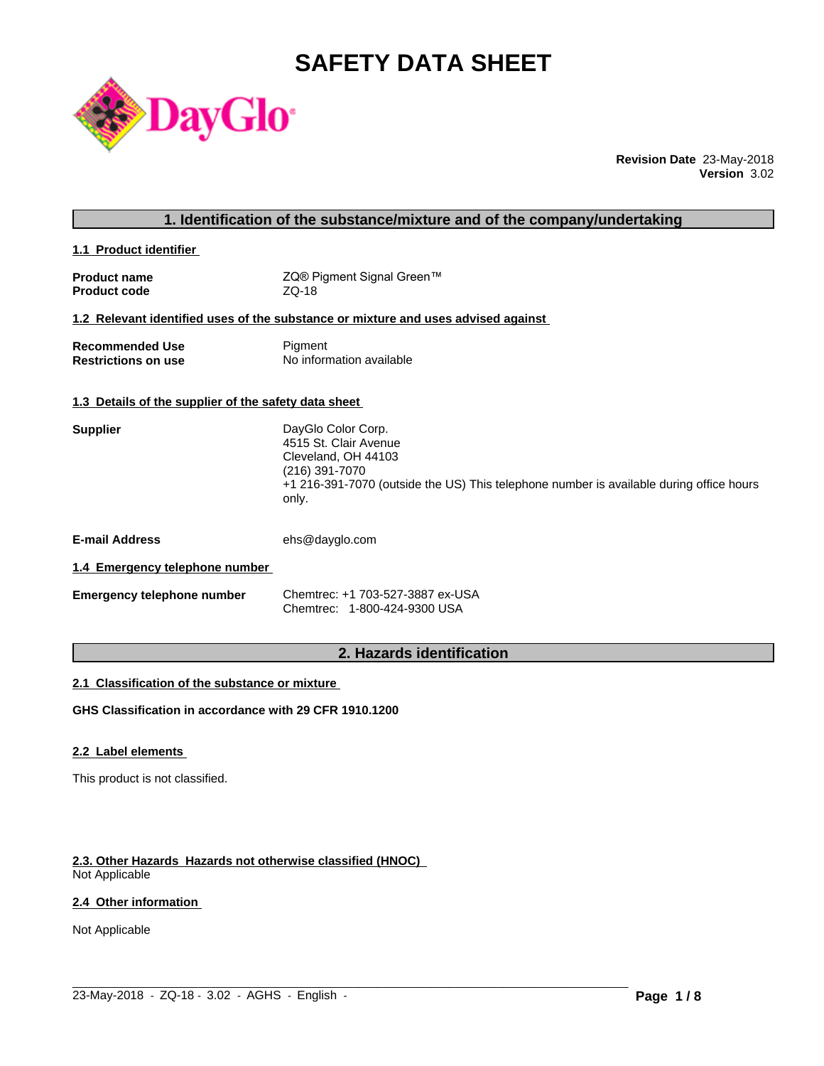# **SAFETY DATA SHEET**



**Revision Date** 23-May-2018 **Version** 3.02

| 1. Identification of the substance/mixture and of the company/undertaking |                                                                                                                                                                                          |  |
|---------------------------------------------------------------------------|------------------------------------------------------------------------------------------------------------------------------------------------------------------------------------------|--|
| 1.1 Product identifier                                                    |                                                                                                                                                                                          |  |
| <b>Product name</b><br><b>Product code</b>                                | ZQ® Pigment Signal Green™<br>ZQ-18                                                                                                                                                       |  |
|                                                                           | 1.2 Relevant identified uses of the substance or mixture and uses advised against                                                                                                        |  |
| <b>Recommended Use</b><br><b>Restrictions on use</b>                      | Pigment<br>No information available                                                                                                                                                      |  |
| 1.3 Details of the supplier of the safety data sheet                      |                                                                                                                                                                                          |  |
| <b>Supplier</b>                                                           | DayGlo Color Corp.<br>4515 St. Clair Avenue<br>Cleveland, OH 44103<br>(216) 391-7070<br>+1 216-391-7070 (outside the US) This telephone number is available during office hours<br>only. |  |
| <b>E-mail Address</b>                                                     | ehs@dayglo.com                                                                                                                                                                           |  |
| 1.4 Emergency telephone number                                            |                                                                                                                                                                                          |  |
| <b>Emergency telephone number</b>                                         | Chemtrec: +1 703-527-3887 ex-USA<br>Chemtrec: 1-800-424-9300 USA                                                                                                                         |  |
|                                                                           | 2. Hazards identification                                                                                                                                                                |  |

# **2. Hazards identification**

### **2.1 Classification of the substance or mixture**

**GHS Classification in accordance with 29 CFR 1910.1200**

# **2.2 Label elements**

This product is not classified.

# **2.3. Other Hazards Hazards not otherwise classified (HNOC)**

Not Applicable

### **2.4 Other information**

Not Applicable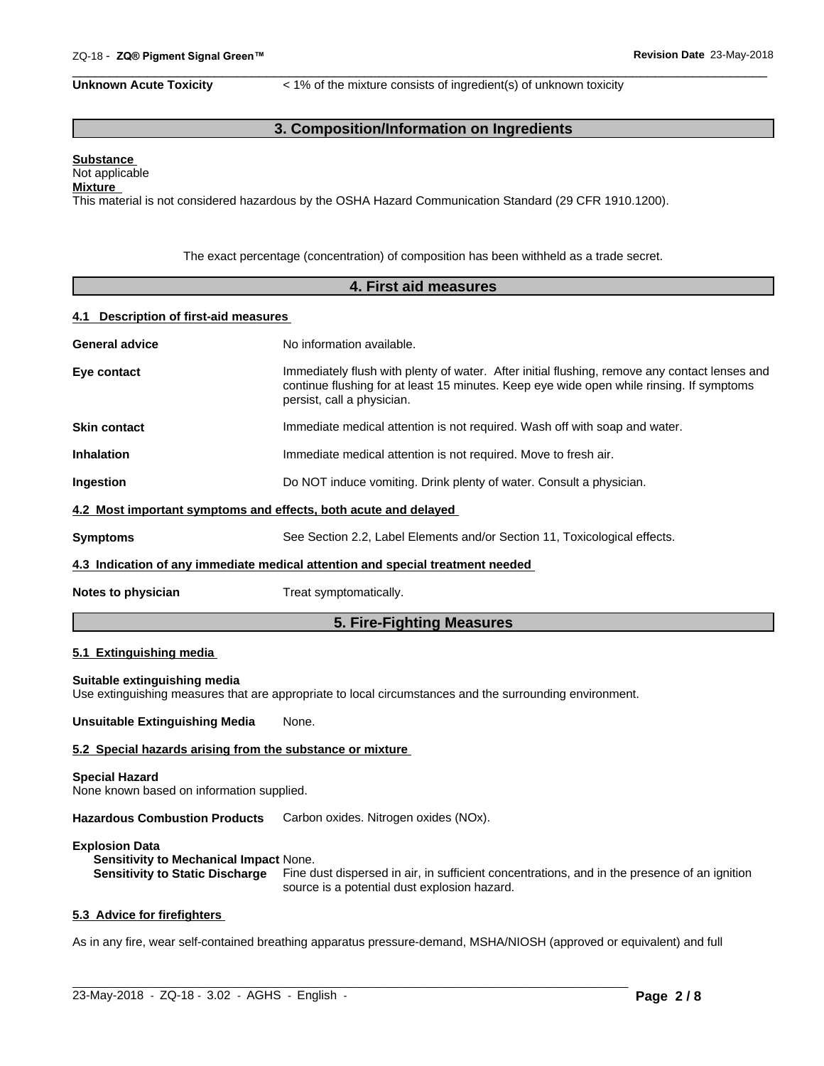Unknown Acute Toxicity  $\lt$  1% of the mixture consists of ingredient(s) of unknown toxicity

 $\overline{\phantom{a}}$  ,  $\overline{\phantom{a}}$  ,  $\overline{\phantom{a}}$  ,  $\overline{\phantom{a}}$  ,  $\overline{\phantom{a}}$  ,  $\overline{\phantom{a}}$  ,  $\overline{\phantom{a}}$  ,  $\overline{\phantom{a}}$  ,  $\overline{\phantom{a}}$  ,  $\overline{\phantom{a}}$  ,  $\overline{\phantom{a}}$  ,  $\overline{\phantom{a}}$  ,  $\overline{\phantom{a}}$  ,  $\overline{\phantom{a}}$  ,  $\overline{\phantom{a}}$  ,  $\overline{\phantom{a}}$ 

# **3. Composition/Information on Ingredients**

# **Substance**

#### Not applicable **Mixture**

This material is not considered hazardous by the OSHA Hazard Communication Standard (29 CFR 1910.1200).

The exact percentage (concentration) of composition has been withheld as a trade secret.

| 4. First aid measures                                              |                                                                                                                                                                                                                         |  |  |  |
|--------------------------------------------------------------------|-------------------------------------------------------------------------------------------------------------------------------------------------------------------------------------------------------------------------|--|--|--|
| 4.1 Description of first-aid measures                              |                                                                                                                                                                                                                         |  |  |  |
| <b>General advice</b>                                              | No information available.                                                                                                                                                                                               |  |  |  |
| Eye contact                                                        | Immediately flush with plenty of water. After initial flushing, remove any contact lenses and<br>continue flushing for at least 15 minutes. Keep eye wide open while rinsing. If symptoms<br>persist, call a physician. |  |  |  |
| <b>Skin contact</b>                                                | Immediate medical attention is not required. Wash off with soap and water.                                                                                                                                              |  |  |  |
| <b>Inhalation</b>                                                  | Immediate medical attention is not required. Move to fresh air.                                                                                                                                                         |  |  |  |
| Ingestion                                                          | Do NOT induce vomiting. Drink plenty of water. Consult a physician.                                                                                                                                                     |  |  |  |
| 4.2 Most important symptoms and effects, both acute and delayed    |                                                                                                                                                                                                                         |  |  |  |
| <b>Symptoms</b>                                                    | See Section 2.2, Label Elements and/or Section 11, Toxicological effects.                                                                                                                                               |  |  |  |
|                                                                    | 4.3 Indication of any immediate medical attention and special treatment needed                                                                                                                                          |  |  |  |
| Notes to physician                                                 | Treat symptomatically.                                                                                                                                                                                                  |  |  |  |
|                                                                    | 5. Fire-Fighting Measures                                                                                                                                                                                               |  |  |  |
| 5.1 Extinguishing media                                            |                                                                                                                                                                                                                         |  |  |  |
| Suitable extinguishing media                                       | Use extinguishing measures that are appropriate to local circumstances and the surrounding environment.                                                                                                                 |  |  |  |
| <b>Unsuitable Extinguishing Media</b>                              | None.                                                                                                                                                                                                                   |  |  |  |
| 5.2 Special hazards arising from the substance or mixture          |                                                                                                                                                                                                                         |  |  |  |
| <b>Special Hazard</b><br>None known based on information supplied. |                                                                                                                                                                                                                         |  |  |  |
| <b>Hazardous Combustion Products</b>                               | Carbon oxides. Nitrogen oxides (NOx).                                                                                                                                                                                   |  |  |  |
| <b>Explosion Data</b><br>Sensitivity to Mechanical Impact None.    | Sensitivity to Static Discharge Fine dust dispersed in air, in sufficient concentrations, and in the presence of an ignition                                                                                            |  |  |  |

#### **5.3 Advice for firefighters**

As in any fire, wear self-contained breathing apparatus pressure-demand, MSHA/NIOSH (approved or equivalent) and full

 $\_$  ,  $\_$  ,  $\_$  ,  $\_$  ,  $\_$  ,  $\_$  ,  $\_$  ,  $\_$  ,  $\_$  ,  $\_$  ,  $\_$  ,  $\_$  ,  $\_$  ,  $\_$  ,  $\_$  ,  $\_$  ,  $\_$  ,  $\_$  ,  $\_$  ,  $\_$  ,  $\_$  ,  $\_$  ,  $\_$  ,  $\_$  ,  $\_$  ,  $\_$  ,  $\_$  ,  $\_$  ,  $\_$  ,  $\_$  ,  $\_$  ,  $\_$  ,  $\_$  ,  $\_$  ,  $\_$  ,  $\_$  ,  $\_$  ,

source is a potential dust explosion hazard.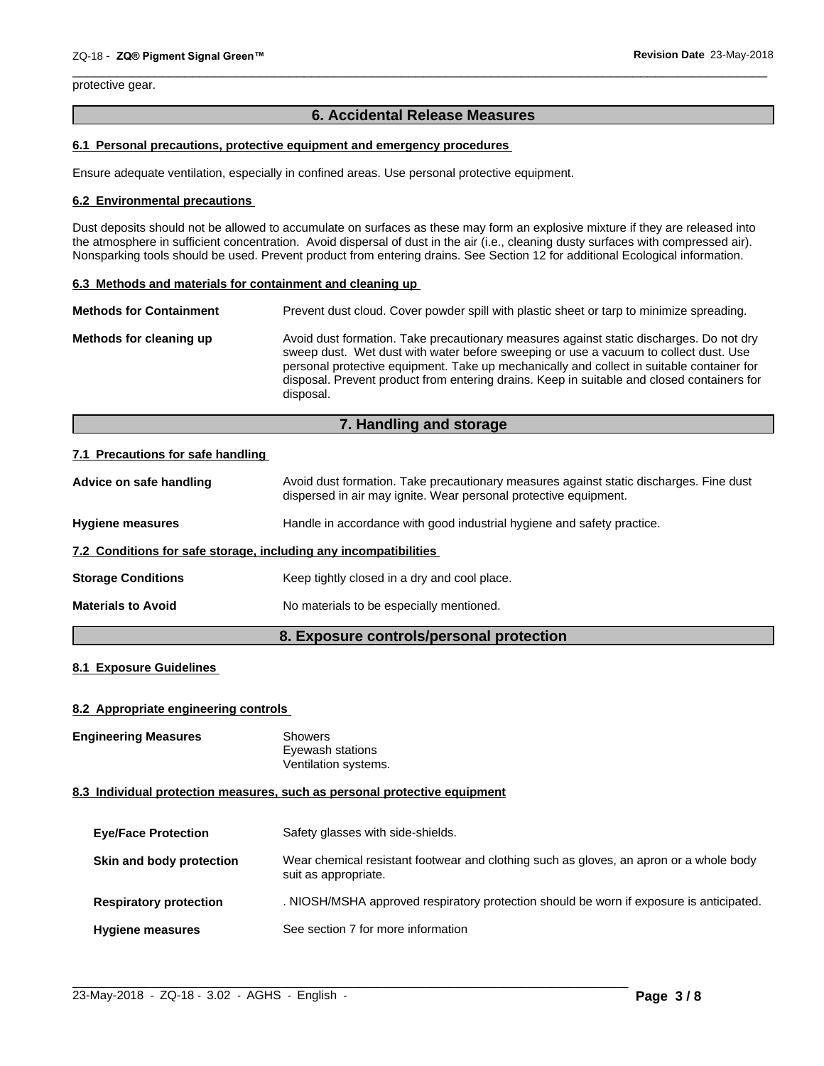protective gear.

# **6. Accidental Release Measures**

 $\overline{\phantom{a}}$  ,  $\overline{\phantom{a}}$  ,  $\overline{\phantom{a}}$  ,  $\overline{\phantom{a}}$  ,  $\overline{\phantom{a}}$  ,  $\overline{\phantom{a}}$  ,  $\overline{\phantom{a}}$  ,  $\overline{\phantom{a}}$  ,  $\overline{\phantom{a}}$  ,  $\overline{\phantom{a}}$  ,  $\overline{\phantom{a}}$  ,  $\overline{\phantom{a}}$  ,  $\overline{\phantom{a}}$  ,  $\overline{\phantom{a}}$  ,  $\overline{\phantom{a}}$  ,  $\overline{\phantom{a}}$ 

#### **6.1 Personal precautions, protective equipment and emergency procedures**

Ensure adequate ventilation, especially in confined areas. Use personal protective equipment.

#### **6.2 Environmental precautions**

Dust deposits should not be allowed to accumulate on surfaces as these may form an explosive mixture if they are released into the atmosphere in sufficient concentration. Avoid dispersal of dust in the air (i.e., cleaning dusty surfaces with compressed air). Nonsparking tools should be used. Prevent product from entering drains. See Section 12 for additional Ecological information.

#### **6.3 Methods and materials for containment and cleaning up**

| <b>Methods for Containment</b> | Prevent dust cloud. Cover powder spill with plastic sheet or tarp to minimize spreading.                                                                                                                                                                                                                                                                                                |
|--------------------------------|-----------------------------------------------------------------------------------------------------------------------------------------------------------------------------------------------------------------------------------------------------------------------------------------------------------------------------------------------------------------------------------------|
| Methods for cleaning up        | Avoid dust formation. Take precautionary measures against static discharges. Do not dry<br>sweep dust. Wet dust with water before sweeping or use a vacuum to collect dust. Use<br>personal protective equipment. Take up mechanically and collect in suitable container for<br>disposal. Prevent product from entering drains. Keep in suitable and closed containers for<br>disposal. |

# **7. Handling and storage**

#### **7.1 Precautions for safe handling**

|                                                                  | 8. Exposure controls/personal protection                                                                                                                   |  |
|------------------------------------------------------------------|------------------------------------------------------------------------------------------------------------------------------------------------------------|--|
| <b>Materials to Avoid</b>                                        | No materials to be especially mentioned.                                                                                                                   |  |
| <b>Storage Conditions</b>                                        | Keep tightly closed in a dry and cool place.                                                                                                               |  |
| 7.2 Conditions for safe storage, including any incompatibilities |                                                                                                                                                            |  |
| <b>Hygiene measures</b>                                          | Handle in accordance with good industrial hygiene and safety practice.                                                                                     |  |
| Advice on safe handling                                          | Avoid dust formation. Take precautionary measures against static discharges. Fine dust<br>dispersed in air may ignite. Wear personal protective equipment. |  |

# **8.1 Exposure Guidelines**

#### **8.2 Appropriate engineering controls**

| <b>Engineering Measures</b> | Showers              |
|-----------------------------|----------------------|
|                             | Eyewash stations     |
|                             | Ventilation systems. |

#### **8.3 Individual protection measures, such as personal protective equipment**

| <b>Eye/Face Protection</b>    | Safety glasses with side-shields.                                                                              |
|-------------------------------|----------------------------------------------------------------------------------------------------------------|
| Skin and body protection      | Wear chemical resistant footwear and clothing such as gloves, an apron or a whole body<br>suit as appropriate. |
| <b>Respiratory protection</b> | . NIOSH/MSHA approved respiratory protection should be worn if exposure is anticipated.                        |
| <b>Hygiene measures</b>       | See section 7 for more information                                                                             |

 $\_$  ,  $\_$  ,  $\_$  ,  $\_$  ,  $\_$  ,  $\_$  ,  $\_$  ,  $\_$  ,  $\_$  ,  $\_$  ,  $\_$  ,  $\_$  ,  $\_$  ,  $\_$  ,  $\_$  ,  $\_$  ,  $\_$  ,  $\_$  ,  $\_$  ,  $\_$  ,  $\_$  ,  $\_$  ,  $\_$  ,  $\_$  ,  $\_$  ,  $\_$  ,  $\_$  ,  $\_$  ,  $\_$  ,  $\_$  ,  $\_$  ,  $\_$  ,  $\_$  ,  $\_$  ,  $\_$  ,  $\_$  ,  $\_$  ,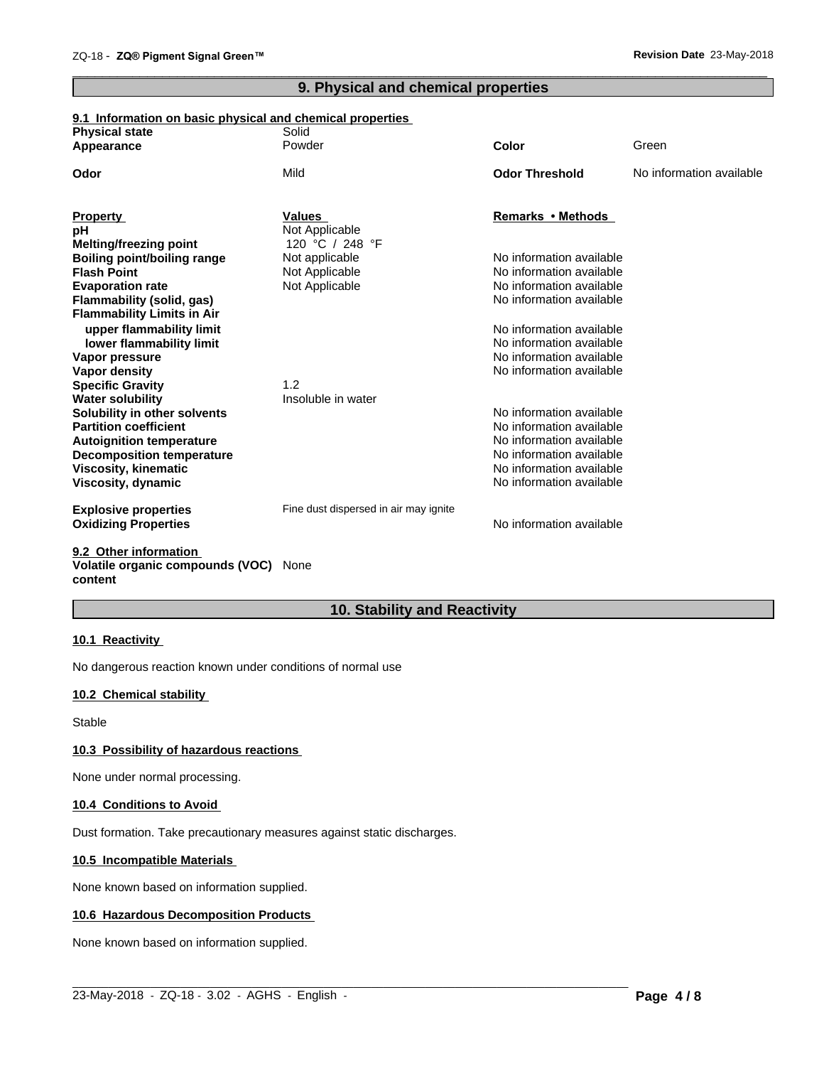# **9. Physical and chemical properties**

 $\overline{\phantom{a}}$  ,  $\overline{\phantom{a}}$  ,  $\overline{\phantom{a}}$  ,  $\overline{\phantom{a}}$  ,  $\overline{\phantom{a}}$  ,  $\overline{\phantom{a}}$  ,  $\overline{\phantom{a}}$  ,  $\overline{\phantom{a}}$  ,  $\overline{\phantom{a}}$  ,  $\overline{\phantom{a}}$  ,  $\overline{\phantom{a}}$  ,  $\overline{\phantom{a}}$  ,  $\overline{\phantom{a}}$  ,  $\overline{\phantom{a}}$  ,  $\overline{\phantom{a}}$  ,  $\overline{\phantom{a}}$ 

#### **9.1 Information on basic physical and chemical properties**

| <b>Physical state</b>                          | Solid                                 |                          |                          |
|------------------------------------------------|---------------------------------------|--------------------------|--------------------------|
| Appearance                                     | Powder                                | <b>Color</b>             | Green                    |
| Odor                                           | Mild                                  | <b>Odor Threshold</b>    | No information available |
| <b>Property</b>                                | <b>Values</b>                         | Remarks • Methods        |                          |
| рH                                             | Not Applicable                        |                          |                          |
| Melting/freezing point                         | 120 °C / 248 °F                       |                          |                          |
| <b>Boiling point/boiling range</b>             | Not applicable                        | No information available |                          |
| <b>Flash Point</b>                             | Not Applicable                        | No information available |                          |
| <b>Evaporation rate</b>                        | Not Applicable                        | No information available |                          |
| Flammability (solid, gas)                      |                                       | No information available |                          |
| <b>Flammability Limits in Air</b>              |                                       |                          |                          |
| upper flammability limit                       |                                       | No information available |                          |
| lower flammability limit                       |                                       | No information available |                          |
| Vapor pressure                                 |                                       | No information available |                          |
| Vapor density                                  |                                       | No information available |                          |
| <b>Specific Gravity</b>                        | 1.2                                   |                          |                          |
| <b>Water solubility</b>                        | Insoluble in water                    |                          |                          |
| Solubility in other solvents                   |                                       | No information available |                          |
| <b>Partition coefficient</b>                   |                                       | No information available |                          |
| <b>Autoignition temperature</b>                |                                       | No information available |                          |
| <b>Decomposition temperature</b>               |                                       | No information available |                          |
| <b>Viscosity, kinematic</b>                    |                                       | No information available |                          |
| Viscosity, dynamic                             |                                       | No information available |                          |
| <b>Explosive properties</b>                    | Fine dust dispersed in air may ignite |                          |                          |
| <b>Oxidizing Properties</b>                    |                                       | No information available |                          |
| $A \wedge A$ and $A \wedge B$ and $A \wedge B$ |                                       |                          |                          |

#### **9.2 Other information Volatile organic compounds (VOC)** None **content**

# **10. Stability and Reactivity**

#### **10.1 Reactivity**

No dangerous reaction known under conditions of normal use

# **10.2 Chemical stability**

Stable

#### **10.3 Possibility of hazardous reactions**

None under normal processing.

#### **10.4 Conditions to Avoid**

Dust formation. Take precautionary measures against static discharges.

#### **10.5 Incompatible Materials**

None known based on information supplied.

#### **10.6 Hazardous Decomposition Products**

None known based on information supplied.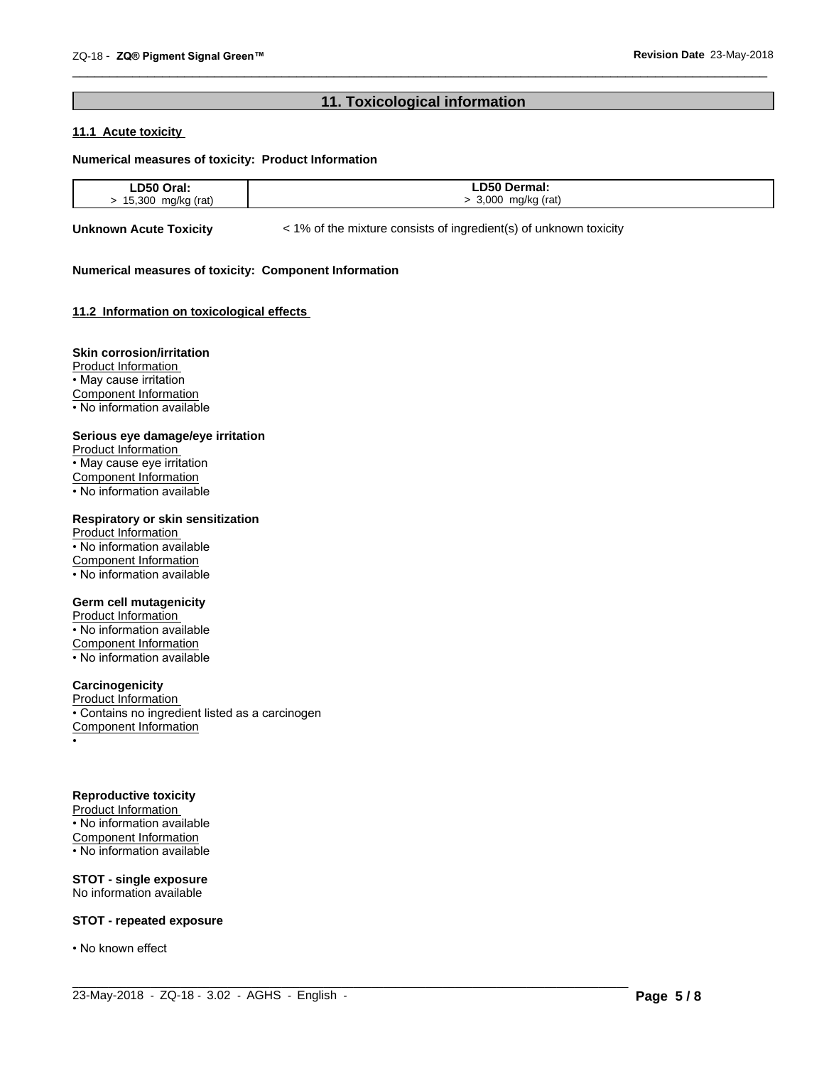# **11. Toxicological information**

 $\overline{\phantom{a}}$  ,  $\overline{\phantom{a}}$  ,  $\overline{\phantom{a}}$  ,  $\overline{\phantom{a}}$  ,  $\overline{\phantom{a}}$  ,  $\overline{\phantom{a}}$  ,  $\overline{\phantom{a}}$  ,  $\overline{\phantom{a}}$  ,  $\overline{\phantom{a}}$  ,  $\overline{\phantom{a}}$  ,  $\overline{\phantom{a}}$  ,  $\overline{\phantom{a}}$  ,  $\overline{\phantom{a}}$  ,  $\overline{\phantom{a}}$  ,  $\overline{\phantom{a}}$  ,  $\overline{\phantom{a}}$ 

### **11.1 Acute toxicity**

#### **Numerical measures of toxicity: Product Information**

| DEO         | D50                   |
|-------------|-----------------------|
| .           | Dermai.               |
| --          |                       |
| .           | _____                 |
| 30C<br>rat. | റററ<br>(rati<br>ma/kr |

 $\_$  ,  $\_$  ,  $\_$  ,  $\_$  ,  $\_$  ,  $\_$  ,  $\_$  ,  $\_$  ,  $\_$  ,  $\_$  ,  $\_$  ,  $\_$  ,  $\_$  ,  $\_$  ,  $\_$  ,  $\_$  ,  $\_$  ,  $\_$  ,  $\_$  ,  $\_$  ,  $\_$  ,  $\_$  ,  $\_$  ,  $\_$  ,  $\_$  ,  $\_$  ,  $\_$  ,  $\_$  ,  $\_$  ,  $\_$  ,  $\_$  ,  $\_$  ,  $\_$  ,  $\_$  ,  $\_$  ,  $\_$  ,  $\_$  ,

**Unknown Acute Toxicity**  $\lt$  1% of the mixture consists of ingredient(s) of unknown toxicity

#### **Numerical measures of toxicity: Component Information**

#### **11.2 Information on toxicologicaleffects**

#### **Skin corrosion/irritation**

Product Information • May cause irritation Component Information • No information available

#### **Serious eye damage/eye irritation**

Product Information • May cause eye irritation Component Information • No information available

#### **Respiratory or skin sensitization**

Product Information • No information available Component Information • No information available

#### **Germ cell mutagenicity**

Product Information • No information available Component Information • No information available

# **Carcinogenicity**

Product Information • Contains no ingredient listed as a carcinogen Component Information •

#### **Reproductive toxicity**

Product Information • No information available Component Information • No information available

**STOT - single exposure** No information available

#### **STOT - repeated exposure**

• No known effect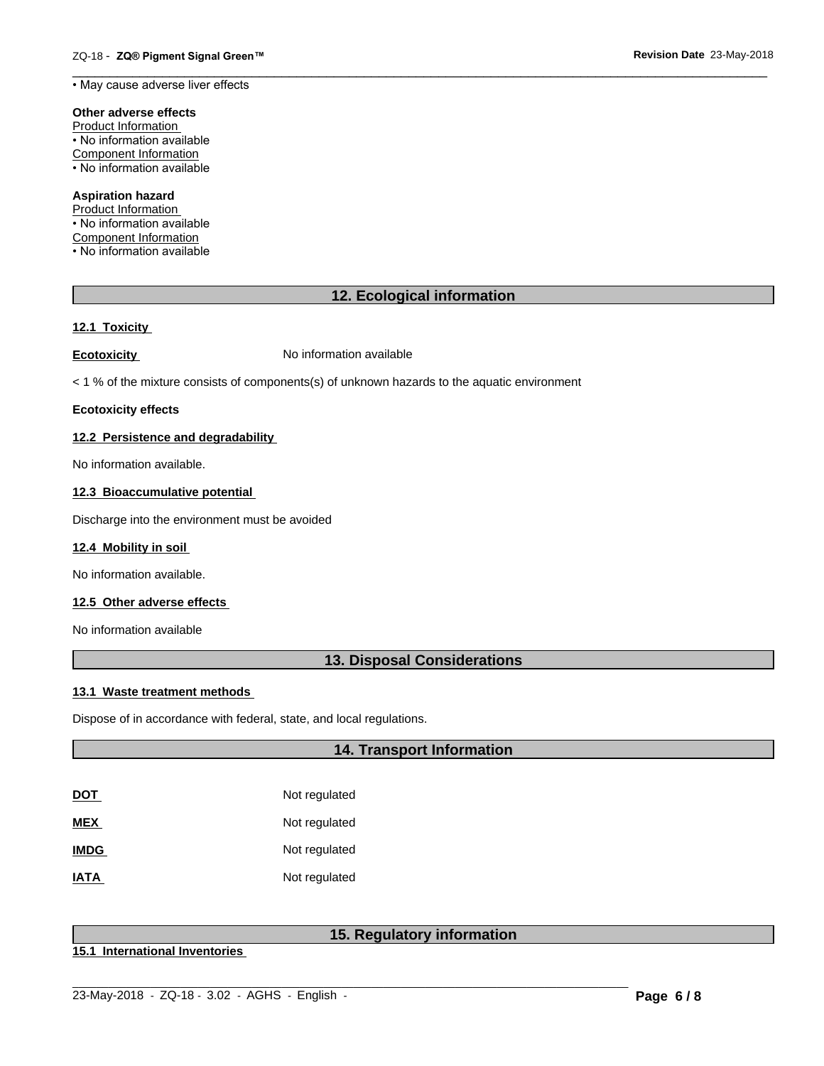• May cause adverse liver effects

#### **Other adverse effects**

Product Information • No information available Component Information • No information available

#### **Aspiration hazard**

Product Information • No information available Component Information • No information available

# **12. Ecological information**

# **12.1 Toxicity**

**Ecotoxicity No information available** 

 $<$  1 % of the mixture consists of components(s) of unknown hazards to the aquatic environment

#### **Ecotoxicity effects**

#### **12.2 Persistence and degradability**

No information available.

#### **12.3 Bioaccumulative potential**

Discharge into the environment must be avoided

#### **12.4 Mobility in soil**

No information available.

#### **12.5 Other adverse effects**

No information available

# **13. Disposal Considerations**

#### **13.1 Waste treatment methods**

Dispose of in accordance with federal, state, and local regulations.

# **14. Transport Information**

| DOT         | Not regulated |
|-------------|---------------|
| MEX         | Not regulated |
| <b>IMDG</b> | Not regulated |
| <b>ATAI</b> | Not regulated |

# **15. Regulatory information**

**15.1 International Inventories**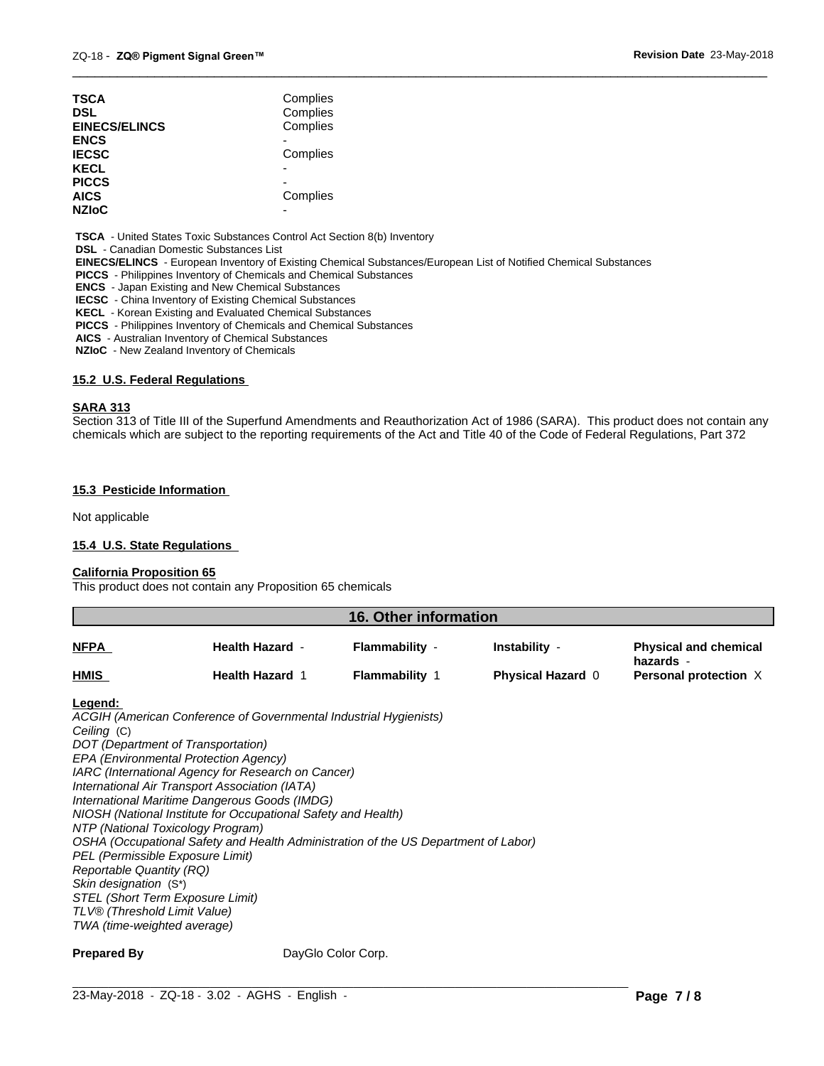| TSCA<br>DSL          | Complies<br>Complies |
|----------------------|----------------------|
| <b>EINECS/ELINCS</b> | Complies             |
| ENCS                 |                      |
| <b>IECSC</b>         | Complies             |
| KECL                 |                      |
| <b>PICCS</b>         |                      |
| AICS                 | Complies             |
| <b>NZIoC</b>         |                      |
|                      |                      |

 **TSCA** - United States Toxic Substances Control Act Section 8(b) Inventory

 **DSL** - Canadian Domestic Substances List

 **EINECS/ELINCS** - European Inventory of Existing Chemical Substances/European List of Notified Chemical Substances

 **PICCS** - Philippines Inventory of Chemicals and Chemical Substances

 **ENCS** - Japan Existing and New Chemical Substances

 **IECSC** - China Inventory of Existing Chemical Substances

 **KECL** - Korean Existing and Evaluated Chemical Substances

 **PICCS** - Philippines Inventory of Chemicals and Chemical Substances

 **AICS** - Australian Inventory of Chemical Substances

 **NZIoC** - New Zealand Inventory of Chemicals

#### **15.2 U.S. Federal Regulations**

#### **SARA 313**

Section 313 of Title III of the Superfund Amendments and Reauthorization Act of 1986 (SARA). This product does not contain any chemicals which are subject to the reporting requirements of the Act and Title 40 of the Code of Federal Regulations, Part 372

 $\overline{\phantom{a}}$  ,  $\overline{\phantom{a}}$  ,  $\overline{\phantom{a}}$  ,  $\overline{\phantom{a}}$  ,  $\overline{\phantom{a}}$  ,  $\overline{\phantom{a}}$  ,  $\overline{\phantom{a}}$  ,  $\overline{\phantom{a}}$  ,  $\overline{\phantom{a}}$  ,  $\overline{\phantom{a}}$  ,  $\overline{\phantom{a}}$  ,  $\overline{\phantom{a}}$  ,  $\overline{\phantom{a}}$  ,  $\overline{\phantom{a}}$  ,  $\overline{\phantom{a}}$  ,  $\overline{\phantom{a}}$ 

#### **15.3 Pesticide Information**

Not applicable

#### **15.4 U.S. State Regulations**

#### **California Proposition 65**

This product does not contain any Proposition 65 chemicals

| 16. Other information |                        |                       |                          |                                           |
|-----------------------|------------------------|-----------------------|--------------------------|-------------------------------------------|
| <b>NFPA</b>           | <b>Health Hazard -</b> | Flammability -        | Instability -            | <b>Physical and chemical</b><br>hazards - |
| <b>HMIS</b>           | <b>Health Hazard 1</b> | <b>Flammability 1</b> | <b>Physical Hazard 0</b> | <b>Personal protection X</b>              |

**Legend:** 

*ACGIH (American Conference of Governmental Industrial Hygienists) Ceiling* (C) *DOT (Department of Transportation) EPA (Environmental Protection Agency) IARC (International Agency for Research on Cancer) International Air Transport Association (IATA) International Maritime Dangerous Goods (IMDG) NIOSH (National Institute for Occupational Safety and Health) NTP (National Toxicology Program) OSHA (Occupational Safety and Health Administration of the US Department of Labor) PEL (Permissible Exposure Limit) Reportable Quantity (RQ) Skin designation* (S\*) *STEL (Short Term Exposure Limit) TLV® (Threshold Limit Value) TWA (time-weighted average)*

**Prepared By DayGlo Color Corp.**